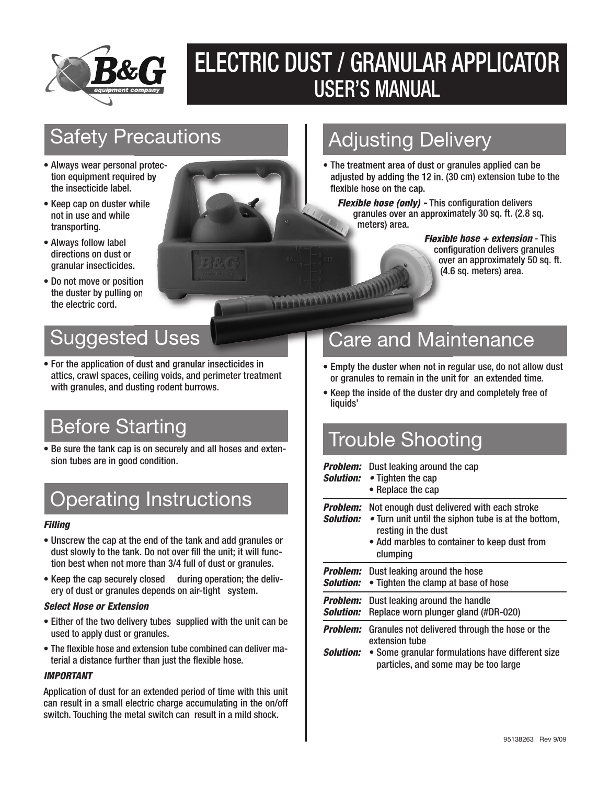

## ELECTRIC DUST / GRANULAR APPLICATOR USER'S MANUAL

### Safety Precautions

- Always wear personal protection equipment required by the insecticide label.
- Keep cap on duster while not in use and while transporting.
- Always follow label directions on dust or granular insecticides.
- Do not move or position the duster by pulling on the electric cord.

### Suggested Uses

• For the application of dust and granular insecticides in attics, crawl spaces, ceiling voids, and perimeter treatment with granules, and dusting rodent burrows.

• Be sure the tank cap is on securely and all hoses and extension tubes are in good condition.

### Operating Instructions

#### *Filling*

- Unscrew the cap at the end of the tank and add granules or dust slowly to the tank. Do not over fill the unit; it will function best when not more than 3/4 full of dust or granules.
- Keep the cap securely closed during operation; the delivery of dust or granules depends on air-tight system.

### *Select Hose or Extension*

- Either of the two delivery tubes supplied with the unit can be used to apply dust or granules.
- The flexible hose and extension tube combined can deliver material a distance further than just the flexible hose.

#### *IMPORTANT*

Application of dust for an extended period of time with this unit can result in a small electric charge accumulating in the on/off switch. Touching the metal switch can result in a mild shock.

### Adjusting Delivery

• The treatment area of dust or granules applied can be adjusted by adding the 12 in. (30 cm) extension tube to the flexible hose on the cap.

*Flexible hose (only) -* This configuration delivers granules over an approximately 30 sq. ft. (2.8 sq. meters) area.

> *Flexible hose + extension* - This configuration delivers granules over an approximately 50 sq. ft. (4.6 sq. meters) area.

### Care and Maintenance

- Empty the duster when not in regular use, do not allow dust or granules to remain in the unit for an extended time.
- Keep the inside of the duster dry and completely free of liquids'

# Before Starting<br>Be sure the tank can is on securely and all hoses and exten.<br>Re sure the tank can is on securely and all hoses and exten.

*Problem:* Dust leaking around the cap

*Solution: •* Tighten the cap • Replace the cap

*Problem:* Not enough dust delivered with each stroke

| <b>Solution:</b> • Turn unit until the siphon tube is at the bottom, |
|----------------------------------------------------------------------|

resting in the dust • Add marbles to container to keep dust from clumping

|                         | <b>Problem:</b> Dust leaking around the hose<br><b>Solution:</b> • Tighten the clamp at base of hose      |
|-------------------------|-----------------------------------------------------------------------------------------------------------|
| <i><b>Solution:</b></i> | <b>Problem:</b> Dust leaking around the handle<br>Replace worn plunger gland (#DR-020)                    |
|                         | <b>Problem:</b> Granules not delivered through the hose or the<br>extension tube                          |
|                         | <b>Solution:</b> • Some granular formulations have different size<br>particles, and some may be too large |